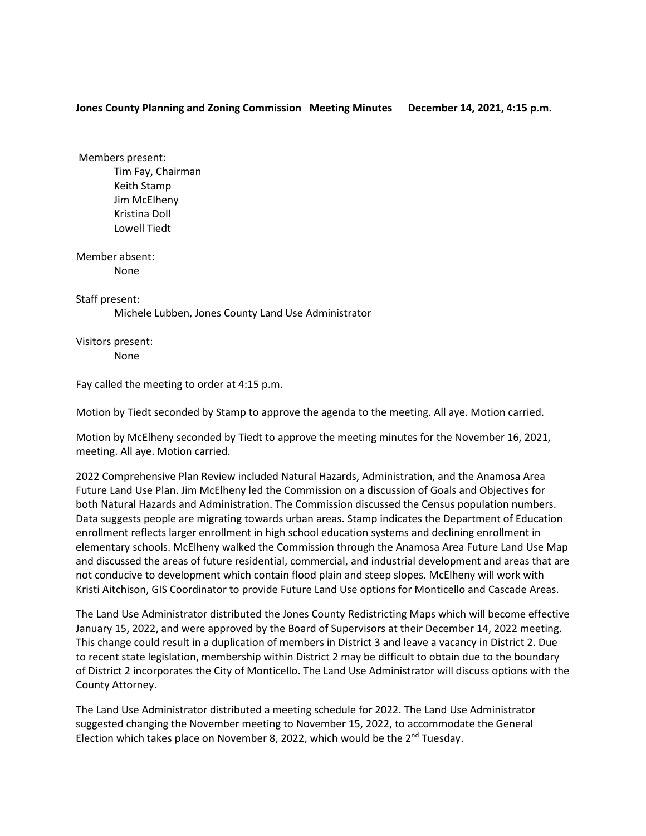## **Jones County Planning and Zoning Commission Meeting Minutes December 14, 2021, 4:15 p.m.**

Members present: Tim Fay, Chairman Keith Stamp Jim McElheny Kristina Doll Lowell Tiedt

Member absent: None

Staff present:

Michele Lubben, Jones County Land Use Administrator

Visitors present:

None

Fay called the meeting to order at 4:15 p.m.

Motion by Tiedt seconded by Stamp to approve the agenda to the meeting. All aye. Motion carried.

Motion by McElheny seconded by Tiedt to approve the meeting minutes for the November 16, 2021, meeting. All aye. Motion carried.

2022 Comprehensive Plan Review included Natural Hazards, Administration, and the Anamosa Area Future Land Use Plan. Jim McElheny led the Commission on a discussion of Goals and Objectives for both Natural Hazards and Administration. The Commission discussed the Census population numbers. Data suggests people are migrating towards urban areas. Stamp indicates the Department of Education enrollment reflects larger enrollment in high school education systems and declining enrollment in elementary schools. McElheny walked the Commission through the Anamosa Area Future Land Use Map and discussed the areas of future residential, commercial, and industrial development and areas that are not conducive to development which contain flood plain and steep slopes. McElheny will work with Kristi Aitchison, GIS Coordinator to provide Future Land Use options for Monticello and Cascade Areas.

The Land Use Administrator distributed the Jones County Redistricting Maps which will become effective January 15, 2022, and were approved by the Board of Supervisors at their December 14, 2022 meeting. This change could result in a duplication of members in District 3 and leave a vacancy in District 2. Due to recent state legislation, membership within District 2 may be difficult to obtain due to the boundary of District 2 incorporates the City of Monticello. The Land Use Administrator will discuss options with the County Attorney.

The Land Use Administrator distributed a meeting schedule for 2022. The Land Use Administrator suggested changing the November meeting to November 15, 2022, to accommodate the General Election which takes place on November 8, 2022, which would be the  $2^{nd}$  Tuesday.